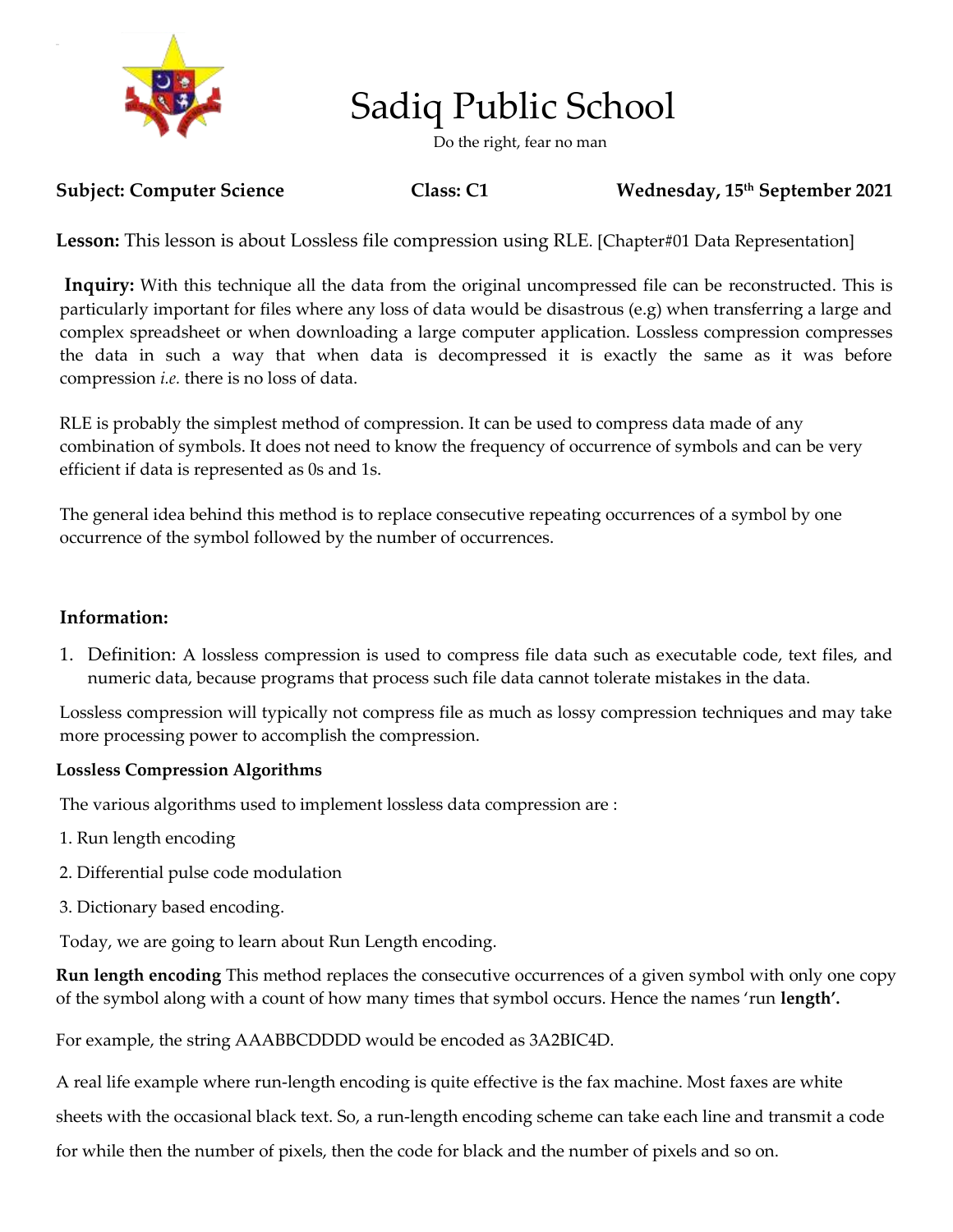

# Sadiq Public School

Do the right, fear no man

#### **Subject: Computer Science Class: C1 Wednesday, 15th September 2021**

Lesson: This lesson is about Lossless file compression using RLE. [Chapter#01 Data Representation]

**Inquiry:** With this technique all the data from the original uncompressed file can be reconstructed. This is particularly important for files where any loss of data would be disastrous (e.g) when transferring a large and complex spreadsheet or when downloading a large computer application. Lossless compression compresses the data in such a way that when data is decompressed it is exactly the same as it was before compression *i.e.* there is no loss of data.

RLE is probably the simplest method of compression. It can be used to compress data made of any combination of symbols. It does not need to know the frequency of occurrence of symbols and can be very efficient if data is represented as 0s and 1s.

The general idea behind this method is to replace consecutive repeating occurrences of a symbol by one occurrence of the symbol followed by the number of occurrences.

#### **Information:**

1. Definition: A lossless compression is used to compress file data such as executable code, text files, and numeric data, because programs that process such file data cannot tolerate mistakes in the data.

Lossless compression will typically not compress file as much as lossy compression techniques and may take more processing power to accomplish the compression.

#### **Lossless Compression Algorithms**

The various algorithms used to implement lossless data compression are :

- 1. Run length encoding
- 2. Differential pulse code modulation
- 3. Dictionary based encoding.

Today, we are going to learn about Run Length encoding.

**Run length encoding** This method replaces the consecutive occurrences of a given symbol with only one copy of the symbol along with a count of how many times that symbol occurs. Hence the names 'run **length'.**

For example, the string AAABBCDDDD would be encoded as 3A2BIC4D.

A real life example where run-length encoding is quite effective is the fax machine. Most faxes are white sheets with the occasional black text. So, a run-length encoding scheme can take each line and transmit a code for while then the number of pixels, then the code for black and the number of pixels and so on.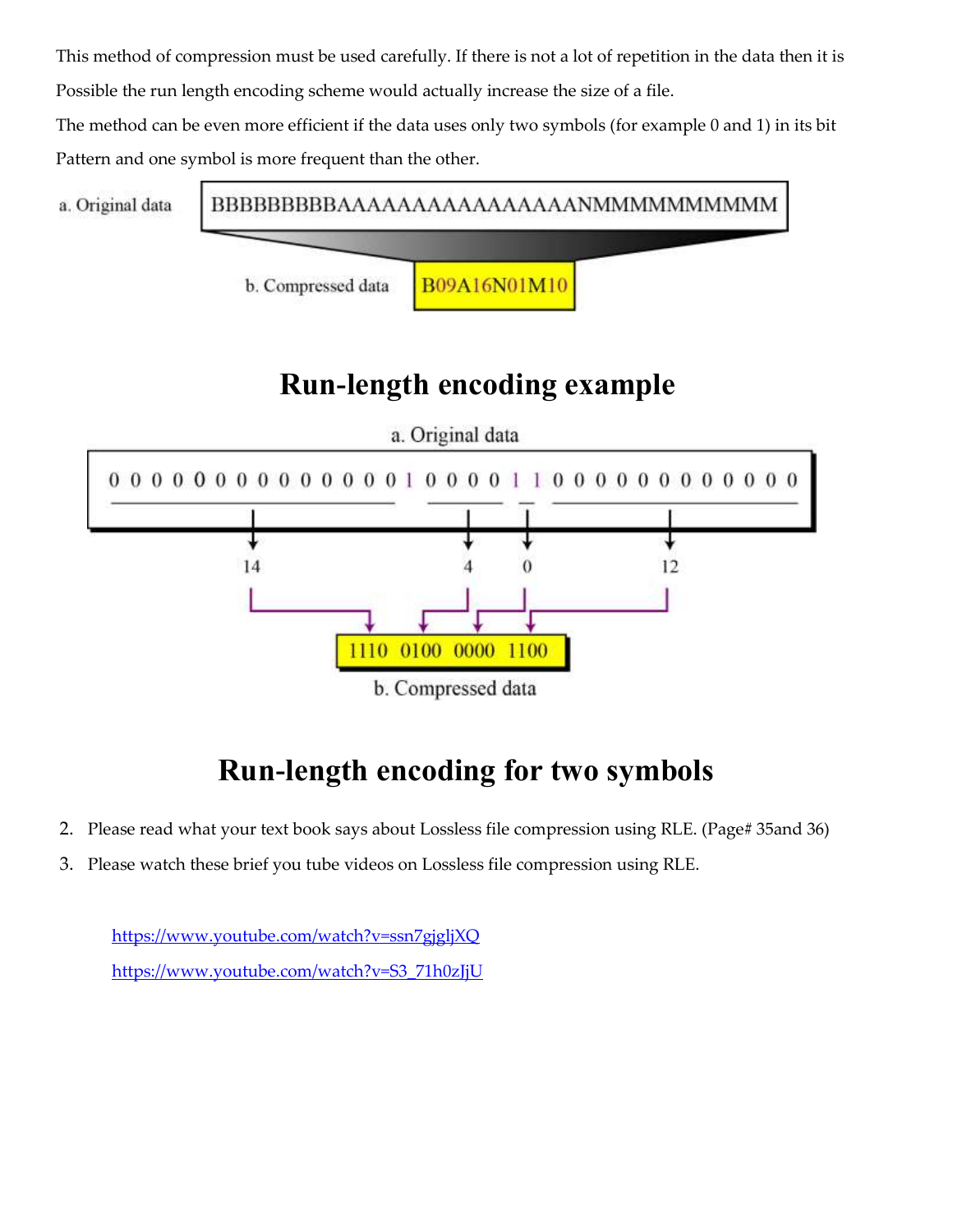This method of compression must be used carefully. If there is not a lot of repetition in the data then it is Possible the run length encoding scheme would actually increase the size of a file.

The method can be even more efficient if the data uses only two symbols (for example 0 and 1) in its bit Pattern and one symbol is more frequent than the other.



### **Run-length encoding example**



## **Run-length encoding for two symbols**

- 2. Please read what your text book says about Lossless file compression using RLE. (Page# 35and 36)
- 3. Please watch these brief you tube videos on Lossless file compression using RLE.

<https://www.youtube.com/watch?v=ssn7gjgljXQ> [https://www.youtube.com/watch?v=S3\\_71h0zJjU](https://www.youtube.com/watch?v=S3_71h0zJjU)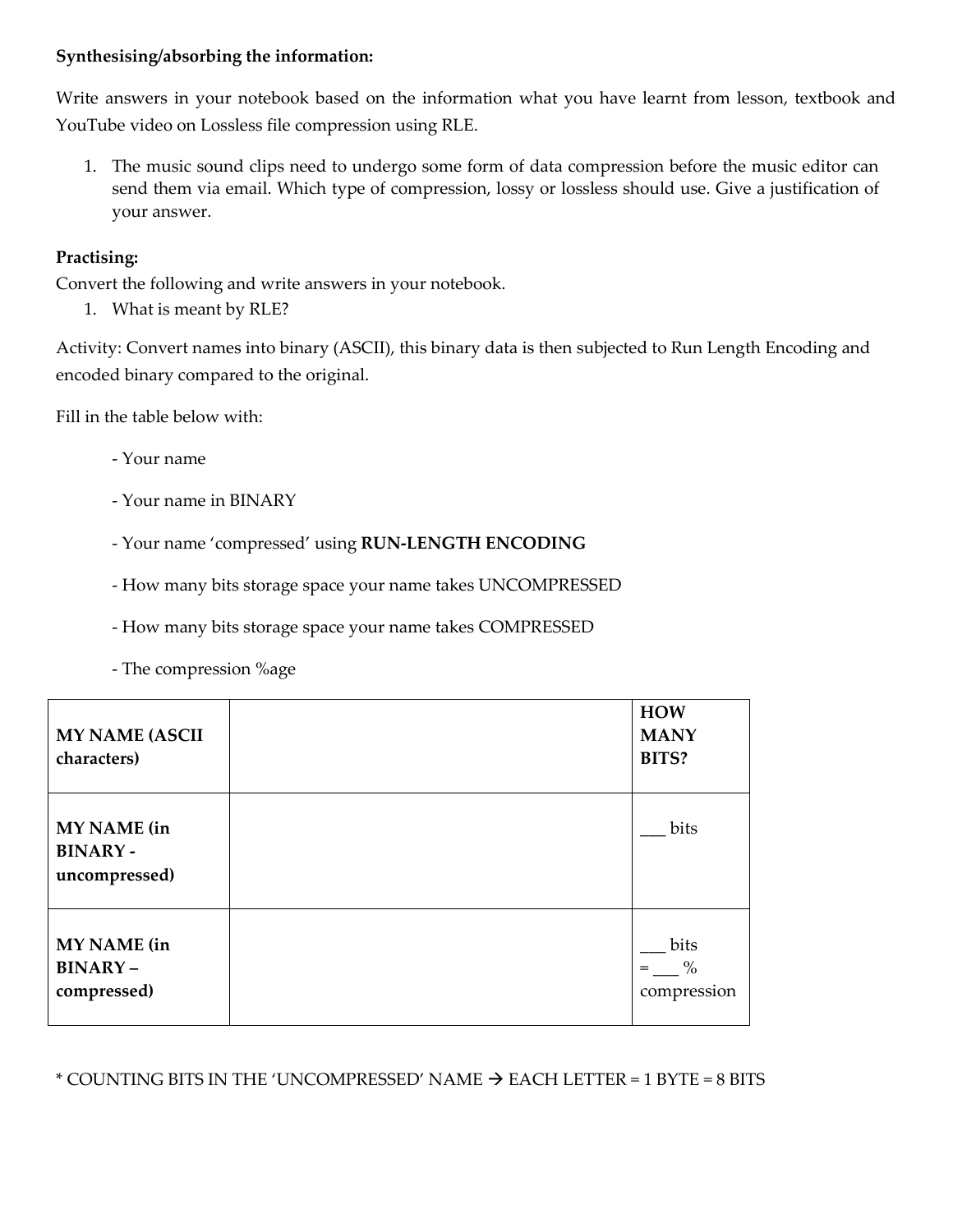#### **Synthesising/absorbing the information:**

Write answers in your notebook based on the information what you have learnt from lesson, textbook and YouTube video on Lossless file compression using RLE.

1. The music sound clips need to undergo some form of data compression before the music editor can send them via email. Which type of compression, lossy or lossless should use. Give a justification of your answer.

### **Practising:**

Convert the following and write answers in your notebook.

1. What is meant by RLE?

Activity: Convert names into binary (ASCII), this binary data is then subjected to Run Length Encoding and encoded binary compared to the original.

Fill in the table below with:

- Your name
- Your name in BINARY
- Your name 'compressed' using **RUN-LENGTH ENCODING**
- How many bits storage space your name takes UNCOMPRESSED
- How many bits storage space your name takes COMPRESSED
- The compression %age

| <b>MY NAME (ASCII</b><br>characters)           | <b>HOW</b><br><b>MANY</b><br>BITS? |
|------------------------------------------------|------------------------------------|
| MY NAME (in<br><b>BINARY-</b><br>uncompressed) | bits                               |
| MY NAME (in<br><b>BINARY-</b><br>compressed)   | bits<br>$\%$<br>$=$<br>compression |

\* COUNTING BITS IN THE 'UNCOMPRESSED' NAME  $\rightarrow$  EACH LETTER = 1 BYTE = 8 BITS